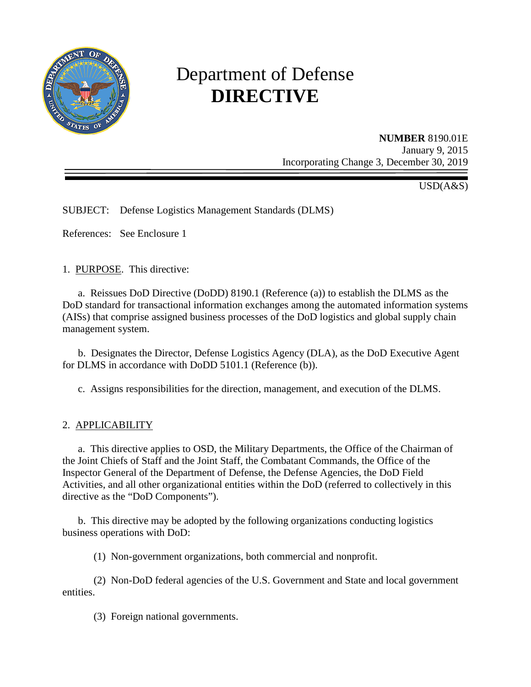

# Department of Defense **DIRECTIVE**

#### **NUMBER** 8190.01E January 9, 2015 Incorporating Change 3, December 30, 2019

USD(A&S)

SUBJECT: Defense Logistics Management Standards (DLMS)

References: See Enclosure 1

1. PURPOSE. This directive:

a. Reissues DoD Directive (DoDD) 8190.1 (Reference (a)) to establish the DLMS as the DoD standard for transactional information exchanges among the automated information systems (AISs) that comprise assigned business processes of the DoD logistics and global supply chain management system.

 b. Designates the Director, Defense Logistics Agency (DLA), as the DoD Executive Agent for DLMS in accordance with DoDD 5101.1 (Reference (b)).

c. Assigns responsibilities for the direction, management, and execution of the DLMS.

#### 2. APPLICABILITY

 a. This directive applies to OSD, the Military Departments, the Office of the Chairman of the Joint Chiefs of Staff and the Joint Staff, the Combatant Commands, the Office of the Inspector General of the Department of Defense, the Defense Agencies, the DoD Field Activities, and all other organizational entities within the DoD (referred to collectively in this directive as the "DoD Components").

 b. This directive may be adopted by the following organizations conducting logistics business operations with DoD:

(1) Non-government organizations, both commercial and nonprofit.

 (2) Non-DoD federal agencies of the U.S. Government and State and local government entities.

(3) Foreign national governments.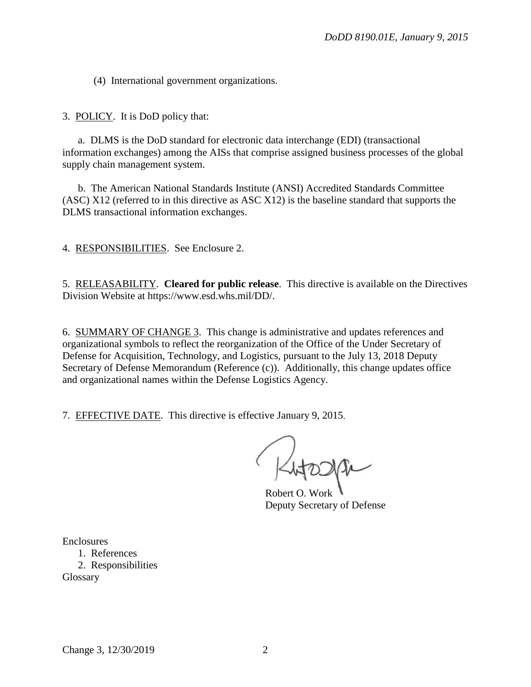(4) International government organizations.

3. POLICY. It is DoD policy that:

a. DLMS is the DoD standard for electronic data interchange (EDI) (transactional information exchanges) among the AISs that comprise assigned business processes of the globa l supply chain management system.

 b. The American National Standards Institute (ANSI) Accredited Standards Committee (ASC) X12 (referred to in this directive as ASC X12) is the baseline standard that supports the DLMS transactional information exchanges.

4. RESPONSIBILITIES. See Enclosure 2.

5. RELEASABILITY. Cleared for public release. This directive is available on the Directives Division Website at https://www.esd.whs.mil/DD/.

6. SUMMARY OF CHANGE 3. This change is administrative and updates references and organizational symbols to reflect the reorganization of the Office of the Under Secretary of Defense for Acquisition, Technology, and Logistics, pursuant to the July 13, 2018 Deputy Secretary of Defense Memorandum (Reference (c)). Additionally, this change updates office and organizational names within the Defense Logistics Agency.

7. EFFECTIVE DATE. This directive is effective January 9, 2015.

Rutaape

Robert O. Worl Deputy Secretary of Defense

**Enclosures** 

1. References 2. Responsibilities Glossary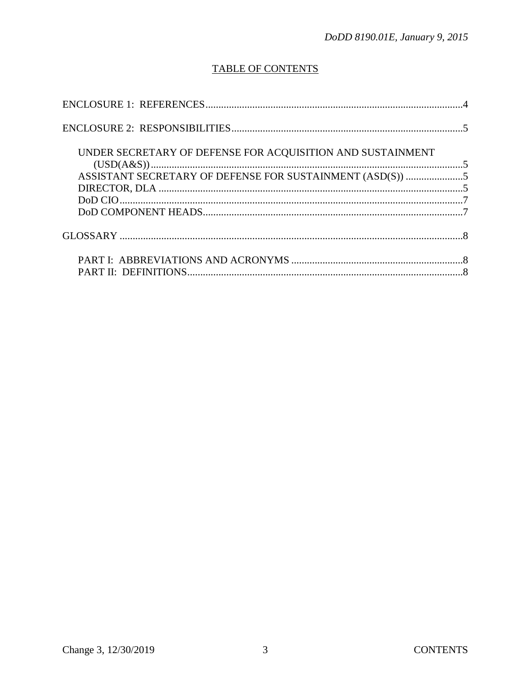## **TABLE OF CONTENTS**

| UNDER SECRETARY OF DEFENSE FOR ACQUISITION AND SUSTAINMENT |  |
|------------------------------------------------------------|--|
|                                                            |  |
|                                                            |  |
|                                                            |  |
|                                                            |  |
|                                                            |  |
|                                                            |  |
|                                                            |  |
|                                                            |  |
|                                                            |  |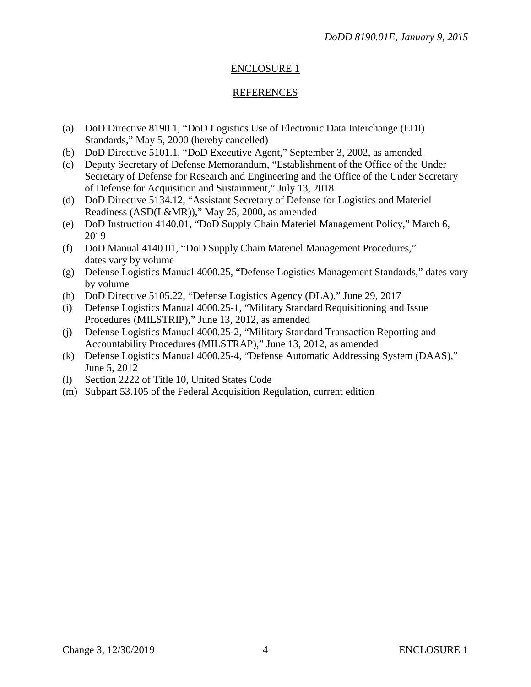#### ENCLOSURE 1

#### REFERENCES

- (a) DoD Directive 8190.1, "DoD Logistics Use of Electronic Data Interchange (EDI) Standards," May 5, 2000 (hereby cancelled)
- (b) DoD Directive 5101.1, "DoD Executive Agent," September 3, 2002, as amended
- (c) Deputy Secretary of Defense Memorandum, "Establishment of the Office of the Under Secretary of Defense for Research and Engineering and the Office of the Under Secretary of Defense for Acquisition and Sustainment," July 13, 2018
- (d) DoD Directive 5134.12, "Assistant Secretary of Defense for Logistics and Materiel Readiness (ASD(L&MR))," May 25, 2000, as amended
- (e) DoD Instruction 4140.01, "DoD Supply Chain Materiel Management Policy," March 6, 2019
- (f) DoD Manual 4140.01, "DoD Supply Chain Materiel Management Procedures," dates vary by volume
- (g) Defense Logistics Manual 4000.25, "Defense Logistics Management Standards," dates vary by volume
- (h) DoD Directive 5105.22, "Defense Logistics Agency (DLA)," June 29, 2017
- (i) Defense Logistics Manual 4000.25-1, "Military Standard Requisitioning and Issue Procedures (MILSTRIP)," June 13, 2012, as amended
- (j) Defense Logistics Manual 4000.25-2, "Military Standard Transaction Reporting and Accountability Procedures (MILSTRAP)," June 13, 2012, as amended
- (k) Defense Logistics Manual 4000.25-4, "Defense Automatic Addressing System (DAAS)," June 5, 2012
- (l) Section 2222 of Title 10, United States Code
- (m) Subpart 53.105 of the Federal Acquisition Regulation, current edition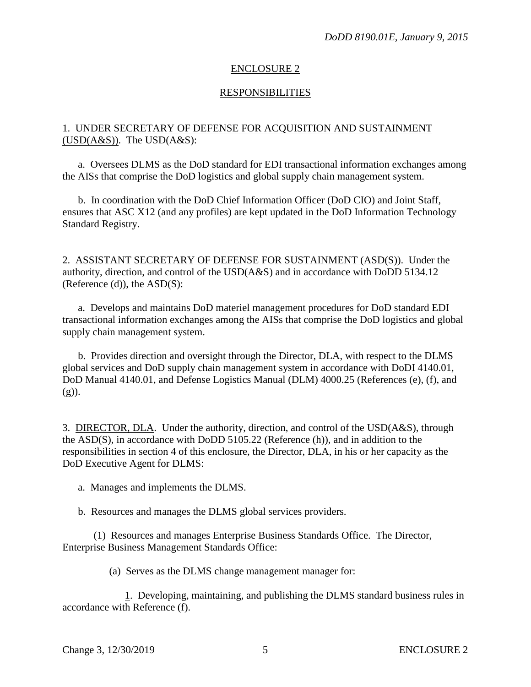#### ENCLOSURE 2

#### RESPONSIBILITIES

#### 1. UNDER SECRETARY OF DEFENSE FOR ACQUISITION AND SUSTAINMENT  $(USD(A&S))$ . The  $USD(A&S)$ :

a. Oversees DLMS as the DoD standard for EDI transactional information exchanges among the AISs that comprise the DoD logistics and global supply chain management system.

b. In coordination with the DoD Chief Information Officer (DoD CIO) and Joint Staff, ensures that ASC X12 (and any profiles) are kept updated in the DoD Information Technology Standard Registry.

2. ASSISTANT SECRETARY OF DEFENSE FOR SUSTAINMENT (ASD(S)). Under the authority, direction, and control of the USD(A&S) and in accordance with DoDD 5134.12  $(Reference (d))$ , the  $ASD(S)$ :

a. Develops and maintains DoD materiel management procedures for DoD standard EDI transactional information exchanges among the AISs that comprise the DoD logistics and global supply chain management system.

b. Provides direction and oversight through the Director, DLA, with respect to the DLMS global services and DoD supply chain management system in accordance with DoDI 4140.01, DoD Manual 4140.01, and Defense Logistics Manual (DLM) 4000.25 (References (e), (f), and  $(g)$ ).

3. DIRECTOR, DLA. Under the authority, direction, and control of the USD(A&S), through the ASD(S), in accordance with DoDD 5105.22 (Reference (h)), and in addition to the responsibilities in section 4 of this enclosure, the Director, DLA, in his or her capacity as the DoD Executive Agent for DLMS:

a. Manages and implements the DLMS.

b. Resources and manages the DLMS global services providers.

(1) Resources and manages Enterprise Business Standards Office. The Director, Enterprise Business Management Standards Office:

(a) Serves as the DLMS change management manager for:

1. Developing, maintaining, and publishing the DLMS standard business rules in accordance with Reference (f).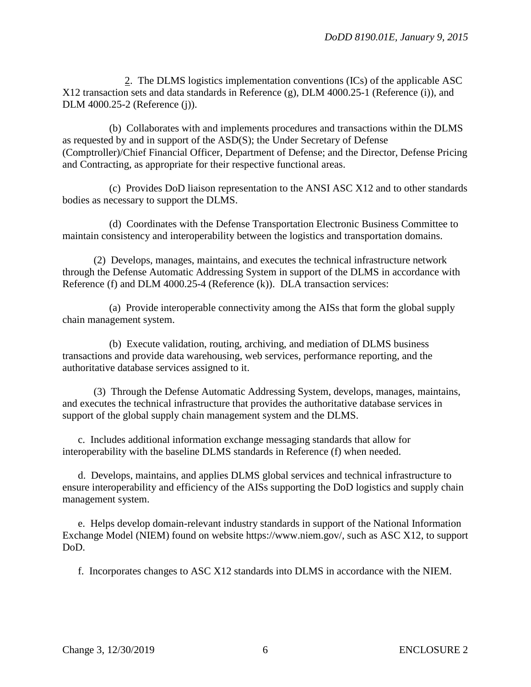2. The DLMS logistics implementation conventions (ICs) of the applicable ASC X12 transaction sets and data standards in Reference (g), DLM 4000.25-1 (Reference (i)), and DLM 4000.25-2 (Reference (j)).

(b) Collaborates with and implements procedures and transactions within the DLMS as requested by and in support of the ASD(S); the Under Secretary of Defense (Comptroller)/Chief Financial Officer, Department of Defense; and the Director, Defense Pricing and Contracting, as appropriate for their respective functional areas.

(c) Provides DoD liaison representation to the ANSI ASC X12 and to other standards bodies as necessary to support the DLMS.

(d) Coordinates with the Defense Transportation Electronic Business Committee to maintain consistency and interoperability between the logistics and transportation domains.

(2) Develops, manages, maintains, and executes the technical infrastructure network through the Defense Automatic Addressing System in support of the DLMS in accordance with Reference (f) and DLM 4000.25-4 (Reference (k)). DLA transaction services:

(a) Provide interoperable connectivity among the AISs that form the global supply chain management system.

(b) Execute validation, routing, archiving, and mediation of DLMS business transactions and provide data warehousing, web services, performance reporting, and the authoritative database services assigned to it.

(3) Through the Defense Automatic Addressing System, develops, manages, maintains, and executes the technical infrastructure that provides the authoritative database services in support of the global supply chain management system and the DLMS.

c. Includes additional information exchange messaging standards that allow for interoperability with the baseline DLMS standards in Reference (f) when needed.

d. Develops, maintains, and applies DLMS global services and technical infrastructure to ensure interoperability and efficiency of the AISs supporting the DoD logistics and supply chain management system.

e. Helps develop domain-relevant industry standards in support of the National Information Exchange Model (NIEM) found on website https://www.niem.gov/, such as ASC X12, to support DoD.

f. Incorporates changes to ASC X12 standards into DLMS in accordance with the NIEM.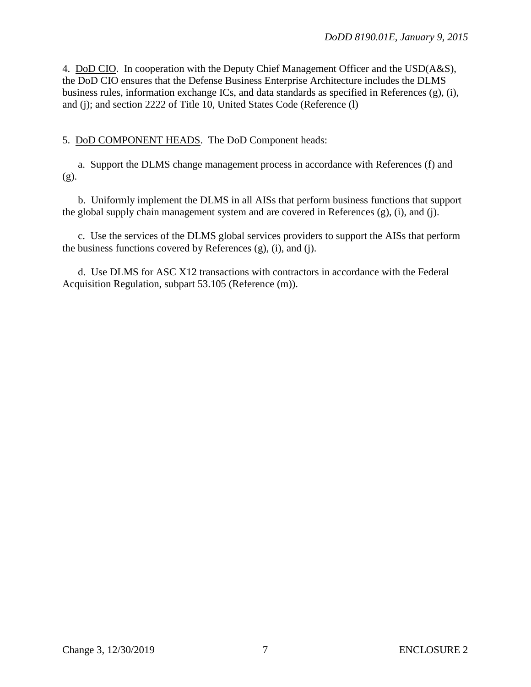4. DoD CIO. In cooperation with the Deputy Chief Management Officer and the USD(A&S), the DoD CIO ensures that the Defense Business Enterprise Architecture includes the DLMS business rules, information exchange ICs, and data standards as specified in References (g), (i), and (j); and section 2222 of Title 10, United States Code (Reference (l)

5. DoD COMPONENT HEADS. The DoD Component heads:

a. Support the DLMS change management process in accordance with References (f) and (g).

b. Uniformly implement the DLMS in all AISs that perform business functions that support the global supply chain management system and are covered in References (g), (i), and (j).

c. Use the services of the DLMS global services providers to support the AISs that perform the business functions covered by References  $(g)$ ,  $(i)$ , and  $(i)$ .

d. Use DLMS for ASC X12 transactions with contractors in accordance with the Federal Acquisition Regulation, subpart 53.105 (Reference (m)).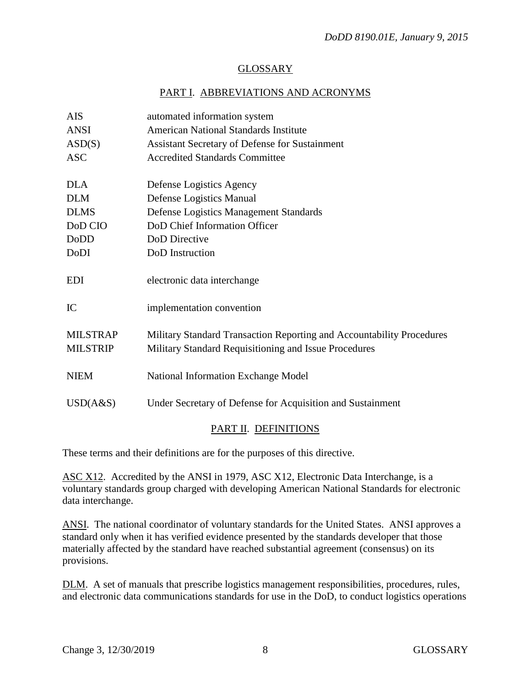#### GLOSSARY

### PART I. ABBREVIATIONS AND ACRONYMS

| <b>AIS</b>                         | automated information system                                                                                                   |
|------------------------------------|--------------------------------------------------------------------------------------------------------------------------------|
| <b>ANSI</b>                        | American National Standards Institute                                                                                          |
| ASD(S)                             | <b>Assistant Secretary of Defense for Sustainment</b>                                                                          |
| <b>ASC</b>                         | <b>Accredited Standards Committee</b>                                                                                          |
| <b>DLA</b>                         | Defense Logistics Agency                                                                                                       |
| <b>DLM</b>                         | Defense Logistics Manual                                                                                                       |
| <b>DLMS</b>                        | Defense Logistics Management Standards                                                                                         |
| DoD CIO                            | DoD Chief Information Officer                                                                                                  |
| DoDD                               | DoD Directive                                                                                                                  |
| DoDI                               | DoD Instruction                                                                                                                |
| <b>EDI</b>                         | electronic data interchange                                                                                                    |
| IC                                 | implementation convention                                                                                                      |
| <b>MILSTRAP</b><br><b>MILSTRIP</b> | Military Standard Transaction Reporting and Accountability Procedures<br>Military Standard Requisitioning and Issue Procedures |
| <b>NIEM</b>                        | National Information Exchange Model                                                                                            |
| USD(A&S)                           | Under Secretary of Defense for Acquisition and Sustainment                                                                     |
|                                    |                                                                                                                                |

#### PART II. DEFINITIONS

These terms and their definitions are for the purposes of this directive.

ASC X12. Accredited by the ANSI in 1979, ASC X12, Electronic Data Interchange, is a voluntary standards group charged with developing American National Standards for electronic data interchange.

ANSI. The national coordinator of voluntary standards for the United States. ANSI approves a standard only when it has verified evidence presented by the standards developer that those materially affected by the standard have reached substantial agreement (consensus) on its provisions.

DLM. A set of manuals that prescribe logistics management responsibilities, procedures, rules, and electronic data communications standards for use in the DoD, to conduct logistics operations